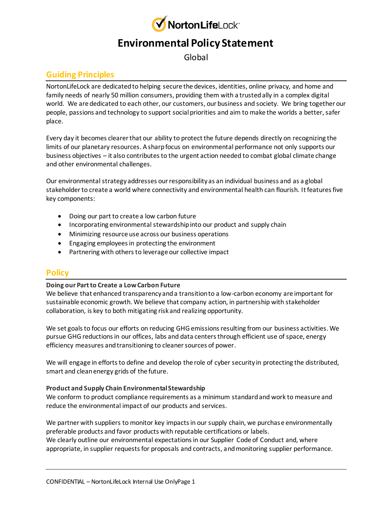

# **Environmental Policy Statement**

Global

# **Guiding Principles**

NortonLifeLock are dedicated to helping secure the devices, identities, online privacy, and home and family needs of nearly 50 million consumers, providing them with a trusted ally in a complex digital world. We are dedicated to each other, our customers, our business and society. We bring together our people, passions and technology to support social priorities and aim to make the worlds a better, safer place.

Every day it becomes clearer that our ability to protect the future depends directly on recognizing the limits of our planetary resources. A sharp focus on environmental performance not only supports our business objectives – it also contributes to the urgent action needed to combat global climate change and other environmental challenges.

Our environmental strategy addresses our responsibility as an individual business and as a global stakeholder to create a world where connectivity and environmental health can flourish. It features five key components:

- Doing our part to create a low carbon future
- Incorporating environmental stewardship into our product and supply chain
- Minimizing resource use across our business operations
- Engaging employees in protecting the environment
- Partnering with others to leverage our collective impact

## **Policy**

### **Doing our Part to Create a Low Carbon Future**

We believe that enhanced transparency and a transition to a low-carbon economy are important for sustainable economic growth. We believe that company action, in partnership with stakeholder collaboration, is key to both mitigating risk and realizing opportunity.

We set goals to focus our efforts on reducing GHG emissions resulting from our business activities. We pursue GHG reductions in our offices, labs and data centers through efficient use of space, energy efficiency measures and transitioning to cleaner sources of power.

We will engage in efforts to define and develop the role of cyber security in protecting the distributed, smart and clean energy grids of the future.

### **Product and Supply Chain Environmental Stewardship**

We conform to product compliance requirements as a minimum standard and work to measure and reduce the environmental impact of our products and services.

We partner with suppliers to monitor key impacts in our supply chain, we purchase environmentally preferable products and favor products with reputable certifications or labels. We clearly outline our environmental expectations in our Supplier Code of Conduct and, where appropriate, in supplier requests for proposals and contracts, and monitoring supplier performance.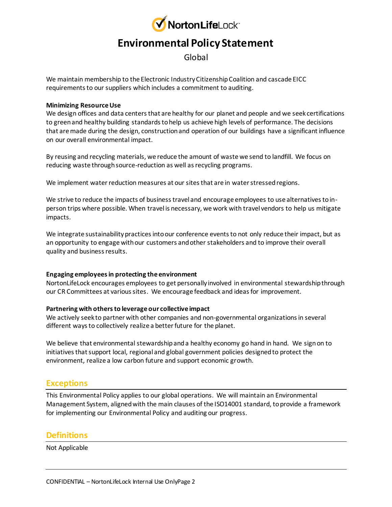

# **Environmental Policy Statement**

Global

We maintain membership to the Electronic Industry Citizenship Coalition and cascade EICC requirements to our suppliers which includes a commitment to auditing.

#### **Minimizing Resource Use**

We design offices and data centers that are healthy for our planet and people and we seek certifications to green and healthy building standards to help us achieve high levels of performance. The decisions that are made during the design, construction and operation of our buildings have a significant influence on our overall environmental impact.

By reusing and recycling materials, we reduce the amount of waste we send to landfill. We focus on reducing waste through source-reduction as well as recycling programs.

We implement water reduction measures at our sites that are in water stressed regions.

We strive to reduce the impacts of business travel and encourage employees to use alternatives to inperson trips where possible. When travel is necessary, we work with travel vendors to help us mitigate impacts.

We integrate sustainability practices into our conference events to not only reduce their impact, but as an opportunity to engage with our customers and other stakeholders and to improve their overall quality and business results.

### **Engaging employees in protecting the environment**

NortonLifeLock encourages employees to get personally involved in environmental stewardship through our CR Committees at various sites. We encourage feedback and ideas for improvement.

### **Partnering with others to leverage our collective impact**

We actively seek to partner with other companies and non-governmental organizations in several different ways to collectively realize a better future for the planet.

We believe that environmental stewardship and a healthy economy go hand in hand. We sign on to initiatives that support local, regional and global government policies designed to protect the environment, realize a low carbon future and support economic growth.

### **Exceptions**

This Environmental Policy applies to our global operations. We will maintain an Environmental Management System, aligned with the main clauses of the ISO14001 standard, to provide a framework for implementing our Environmental Policy and auditing our progress.

### **Definitions**

Not Applicable